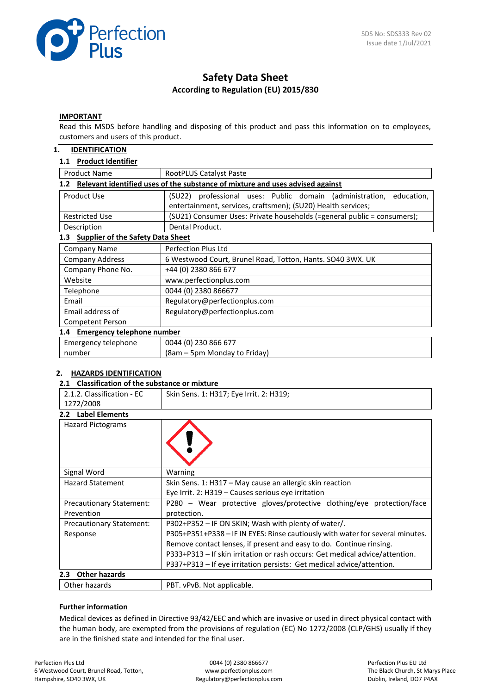

# **Safety Data Sheet According to Regulation (EU) 2015/830**

#### **IMPORTANT**

Read this MSDS before handling and disposing of this product and pass this information on to employees, customers and users of this product.

### **1. IDENTIFICATION**

## **1.1 Product Identifier**

| <b>Product Name</b>                                                                  | RootPLUS Catalyst Paste                                                                                                                |  |  |  |
|--------------------------------------------------------------------------------------|----------------------------------------------------------------------------------------------------------------------------------------|--|--|--|
| Relevant identified uses of the substance of mixture and uses advised against<br>1.2 |                                                                                                                                        |  |  |  |
| Product Use                                                                          | (SU22) professional uses: Public domain (administration,<br>education,<br>entertainment, services, craftsmen); (SU20) Health services; |  |  |  |
| <b>Restricted Use</b>                                                                | (SU21) Consumer Uses: Private households (=general public = consumers);                                                                |  |  |  |
| Description                                                                          | Dental Product.                                                                                                                        |  |  |  |
| <b>Supplier of the Safety Data Sheet</b><br>1.3                                      |                                                                                                                                        |  |  |  |
| Company Name                                                                         | Perfection Plus Ltd                                                                                                                    |  |  |  |
| <b>Company Address</b>                                                               | 6 Westwood Court, Brunel Road, Totton, Hants. SO40 3WX. UK                                                                             |  |  |  |
| Company Phone No.                                                                    | +44 (0) 2380 866 677                                                                                                                   |  |  |  |
| Website                                                                              | www.perfectionplus.com                                                                                                                 |  |  |  |
| Telephone                                                                            | 0044 (0) 2380 866677                                                                                                                   |  |  |  |
| Email                                                                                | Regulatory@perfectionplus.com                                                                                                          |  |  |  |
| Email address of                                                                     | Regulatory@perfectionplus.com                                                                                                          |  |  |  |
| Competent Person                                                                     |                                                                                                                                        |  |  |  |
| 1.4 Emergency telephone number                                                       |                                                                                                                                        |  |  |  |
| Emergency telephone                                                                  | 0044 (0) 230 866 677                                                                                                                   |  |  |  |
| number                                                                               | (8am – 5pm Monday to Friday)                                                                                                           |  |  |  |

#### **2. HAZARDS IDENTIFICATION**

#### **2.1 Classification of the substance or mixture**

| 2.1.2. Classification - EC      | Skin Sens. 1: H317; Eye Irrit. 2: H319;                                       |
|---------------------------------|-------------------------------------------------------------------------------|
| 1272/2008                       |                                                                               |
| <b>Label Elements</b><br>2.2    |                                                                               |
| <b>Hazard Pictograms</b>        |                                                                               |
| Signal Word                     | Warning                                                                       |
| <b>Hazard Statement</b>         | Skin Sens. 1: H317 - May cause an allergic skin reaction                      |
|                                 | Eye Irrit. 2: H319 - Causes serious eye irritation                            |
| <b>Precautionary Statement:</b> | P280 - Wear protective gloves/protective clothing/eye protection/face         |
| Prevention                      | protection.                                                                   |
| <b>Precautionary Statement:</b> | P302+P352 - IF ON SKIN; Wash with plenty of water/.                           |
| Response                        | P305+P351+P338 - IF IN EYES: Rinse cautiously with water for several minutes. |
|                                 | Remove contact lenses, if present and easy to do. Continue rinsing.           |
|                                 | P333+P313 - If skin irritation or rash occurs: Get medical advice/attention.  |
|                                 | P337+P313 - If eye irritation persists: Get medical advice/attention.         |
| <b>Other hazards</b><br>2.3     |                                                                               |
| Other hazards                   | PBT. vPvB. Not applicable.                                                    |

#### **Further information**

Medical devices as defined in Directive 93/42/EEC and which are invasive or used in direct physical contact with the human body, are exempted from the provisions of regulation (EC) No 1272/2008 (CLP/GHS) usually if they are in the finished state and intended for the final user.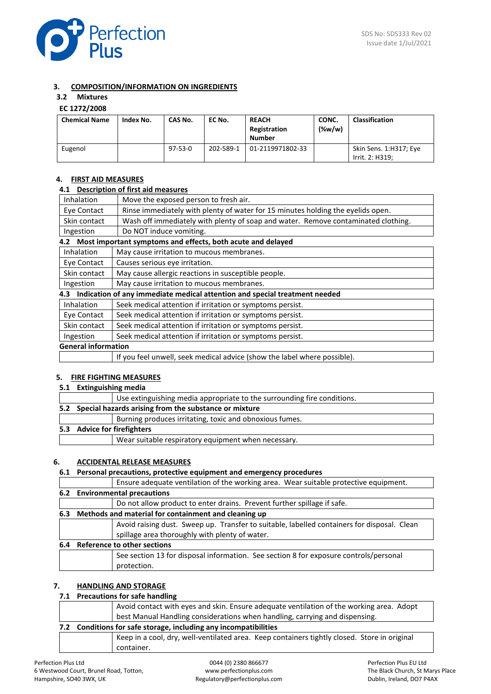

## **3. COMPOSITION/INFORMATION ON INGREDIENTS**

## **3.2 Mixtures**

### **EC 1272/2008**

| <b>Chemical Name</b> | Index No. | CAS No.       | EC No.    | <b>REACH</b><br>Registration<br><b>Number</b> | CONC.<br>$(\%w/w)$ | <b>Classification</b>                     |
|----------------------|-----------|---------------|-----------|-----------------------------------------------|--------------------|-------------------------------------------|
| Eugenol              |           | $97 - 53 - 0$ | 202-589-1 | 01-2119971802-33                              |                    | Skin Sens. 1:H317; Eye<br>Irrit. 2: H319: |

## **4. FIRST AID MEASURES**

#### **4.1 Description of first aid measures**

| Inhalation                                                         | Move the exposed person to fresh air.                                             |  |  |
|--------------------------------------------------------------------|-----------------------------------------------------------------------------------|--|--|
| Eye Contact                                                        | Rinse immediately with plenty of water for 15 minutes holding the eyelids open.   |  |  |
| Skin contact                                                       | Wash off immediately with plenty of soap and water. Remove contaminated clothing. |  |  |
| Ingestion                                                          | Do NOT induce vomiting.                                                           |  |  |
| Most important symptoms and effects, both acute and delayed<br>4.2 |                                                                                   |  |  |
| Inhalation                                                         | May cause irritation to mucous membranes.                                         |  |  |
| Eye Contact                                                        | Causes serious eye irritation.                                                    |  |  |
| Skin contact                                                       | May cause allergic reactions in susceptible people.                               |  |  |
| Ingestion                                                          | May cause irritation to mucous membranes.                                         |  |  |
| 4.3                                                                | Indication of any immediate medical attention and special treatment needed        |  |  |
| <b>Inhalation</b>                                                  | Seek medical attention if irritation or symptoms persist.                         |  |  |
| Eye Contact                                                        | Seek medical attention if irritation or symptoms persist.                         |  |  |
| Skin contact                                                       | Seek medical attention if irritation or symptoms persist.                         |  |  |
| Ingestion                                                          | Seek medical attention if irritation or symptoms persist.                         |  |  |
| <b>General information</b>                                         |                                                                                   |  |  |
|                                                                    | If you feel unwell, seek medical advice (show the label where possible).          |  |  |

## **5. FIRE FIGHTING MEASURES**

**5.1 Extinguishing media**

|                             | Use extinguishing media appropriate to the surrounding fire conditions. |
|-----------------------------|-------------------------------------------------------------------------|
|                             | 5.2 Special hazards arising from the substance or mixture               |
|                             | Burning produces irritating, toxic and obnoxious fumes.                 |
| 5.3 Advice for firefighters |                                                                         |
|                             | Wear suitable respiratory equipment when necessary.                     |

#### **6. ACCIDENTAL RELEASE MEASURES**

#### **6.1 Personal precautions, protective equipment and emergency procedures**

Ensure adequate ventilation of the working area. Wear suitable protective equipment.

|     | Ensure adequate ventilation of the working area. Wear suitable protective equipment.                                                          |  |  |
|-----|-----------------------------------------------------------------------------------------------------------------------------------------------|--|--|
|     | 6.2 Environmental precautions                                                                                                                 |  |  |
|     | Do not allow product to enter drains. Prevent further spillage if safe.                                                                       |  |  |
| 6.3 | Methods and material for containment and cleaning up                                                                                          |  |  |
|     | Avoid raising dust. Sweep up. Transfer to suitable, labelled containers for disposal. Clean<br>spillage area thoroughly with plenty of water. |  |  |
| 6.4 | Reference to other sections                                                                                                                   |  |  |

## See section 13 for disposal information. See section 8 for exposure controls/personal protection.

## **7. HANDLING AND STORAGE**

## **7.1 Precautions for safe handling**

| Avoid contact with eyes and skin. Ensure adequate ventilation of the working area. Adopt |                                                                                              |  |
|------------------------------------------------------------------------------------------|----------------------------------------------------------------------------------------------|--|
|                                                                                          | best Manual Handling considerations when handling, carrying and dispensing.                  |  |
| 7.2 Conditions for safe storage, including any incompatibilities                         |                                                                                              |  |
|                                                                                          | Keep in a cool, dry, well-ventilated area. Keep containers tightly closed. Store in original |  |
|                                                                                          | container.                                                                                   |  |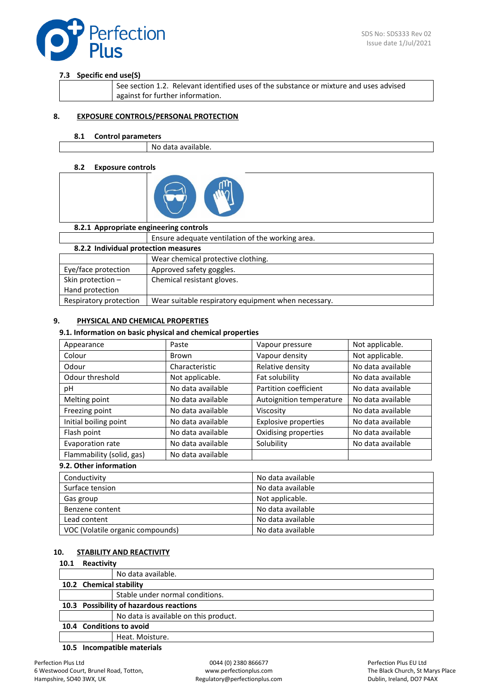

## **7.3 Specific end use(S)**

| See section 1.2. Relevant identified uses of the substance or mixture and uses advised |
|----------------------------------------------------------------------------------------|
| against for further information.                                                       |

## **8. EXPOSURE CONTROLS/PERSONAL PROTECTION**

#### **8.1 Control parameters**

No data available.

### **8.2 Exposure controls**



| 8.2.1 Appropriate engineering controls |                                                     |  |  |
|----------------------------------------|-----------------------------------------------------|--|--|
|                                        | Ensure adequate ventilation of the working area.    |  |  |
| 8.2.2 Individual protection measures   |                                                     |  |  |
|                                        | Wear chemical protective clothing.                  |  |  |
| Eye/face protection                    | Approved safety goggles.                            |  |  |
| Skin protection -                      | Chemical resistant gloves.                          |  |  |
| Hand protection                        |                                                     |  |  |
| Respiratory protection                 | Wear suitable respiratory equipment when necessary. |  |  |
|                                        |                                                     |  |  |

## **9. PHYSICAL AND CHEMICAL PROPERTIES**

#### **9.1. Information on basic physical and chemical properties**

| Appearance                | Paste             | Vapour pressure             | Not applicable.   |
|---------------------------|-------------------|-----------------------------|-------------------|
| Colour                    | Brown             | Vapour density              | Not applicable.   |
| Odour                     | Characteristic    | Relative density            | No data available |
| Odour threshold           | Not applicable.   | Fat solubility              | No data available |
| рH                        | No data available | Partition coefficient       | No data available |
| Melting point             | No data available | Autoignition temperature    | No data available |
| Freezing point            | No data available | Viscosity                   | No data available |
| Initial boiling point     | No data available | <b>Explosive properties</b> | No data available |
| Flash point               | No data available | Oxidising properties        | No data available |
| Evaporation rate          | No data available | Solubility                  | No data available |
| Flammability (solid, gas) | No data available |                             |                   |
| 9.2. Other information    |                   |                             |                   |

| Conductivity                     | No data available |
|----------------------------------|-------------------|
| Surface tension                  | No data available |
| Gas group                        | Not applicable.   |
| Benzene content                  | No data available |
| Lead content                     | No data available |
| VOC (Volatile organic compounds) | No data available |

#### **10. STABILITY AND REACTIVITY**

#### **10.1 Reactivity**

|                          |                                         | No data available.                    |  |
|--------------------------|-----------------------------------------|---------------------------------------|--|
|                          | 10.2 Chemical stability                 |                                       |  |
|                          |                                         | Stable under normal conditions.       |  |
|                          | 10.3 Possibility of hazardous reactions |                                       |  |
|                          |                                         | No data is available on this product. |  |
| 10.4 Conditions to avoid |                                         |                                       |  |
|                          |                                         | Heat. Moisture.                       |  |

**10.5 Incompatible materials**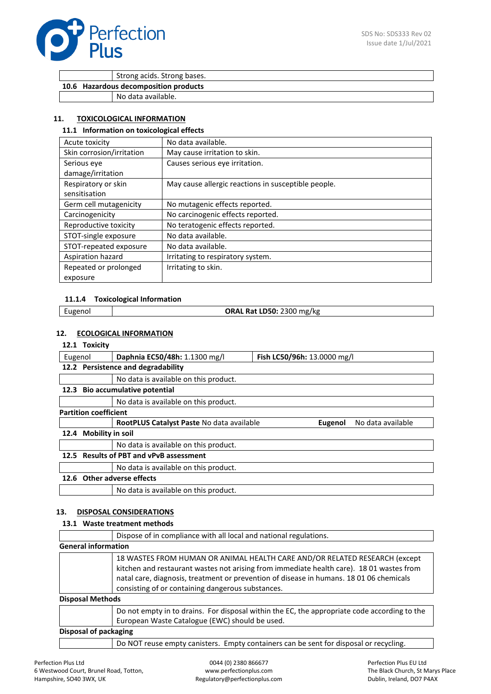

Strong acids. Strong bases.

**10.6 Hazardous decomposition products**

No data available.

## **11. TOXICOLOGICAL INFORMATION**

## **11.1 Information on toxicological effects**

| Acute toxicity            | No data available.                                  |
|---------------------------|-----------------------------------------------------|
| Skin corrosion/irritation | May cause irritation to skin.                       |
| Serious eve               | Causes serious eve irritation.                      |
| damage/irritation         |                                                     |
| Respiratory or skin       | May cause allergic reactions in susceptible people. |
| sensitisation             |                                                     |
| Germ cell mutagenicity    | No mutagenic effects reported.                      |
| Carcinogenicity           | No carcinogenic effects reported.                   |
| Reproductive toxicity     | No teratogenic effects reported.                    |
| STOT-single exposure      | No data available.                                  |
| STOT-repeated exposure    | No data available.                                  |
| Aspiration hazard         | Irritating to respiratory system.                   |
| Repeated or prolonged     | Irritating to skin.                                 |
| exposure                  |                                                     |

## **11.1.4 Toxicological Information**

|  | cugenol | <b>.ن.</b> 2300 mg/kg<br>. LD50∙<br>D-+<br>. I \a |
|--|---------|---------------------------------------------------|
|--|---------|---------------------------------------------------|

## **12. ECOLOGICAL INFORMATION**

#### **12.1 Toxicity**

|      |                                         | Daphnia EC50/48h: 1.1300 mg/l             | Fish LC50/96h: 13.0000 mg/l |                   |
|------|-----------------------------------------|-------------------------------------------|-----------------------------|-------------------|
|      | Eugenol                                 |                                           |                             |                   |
|      |                                         | 12.2 Persistence and degradability        |                             |                   |
|      |                                         | No data is available on this product.     |                             |                   |
| 12.3 |                                         | Bio accumulative potential                |                             |                   |
|      |                                         | No data is available on this product.     |                             |                   |
|      | <b>Partition coefficient</b>            |                                           |                             |                   |
|      |                                         | RootPLUS Catalyst Paste No data available | Eugenol                     | No data available |
| 12.4 | <b>Mobility in soil</b>                 |                                           |                             |                   |
|      |                                         | No data is available on this product.     |                             |                   |
|      | 12.5 Results of PBT and vPvB assessment |                                           |                             |                   |
|      |                                         | No data is available on this product.     |                             |                   |
| 12.6 |                                         | Other adverse effects                     |                             |                   |
|      |                                         | No data is available on this product.     |                             |                   |

## **13. DISPOSAL CONSIDERATIONS**

#### **13.1 Waste treatment methods**

|                            | Dispose of in compliance with all local and national regulations.                                                                                                                                                                                                                                                      |
|----------------------------|------------------------------------------------------------------------------------------------------------------------------------------------------------------------------------------------------------------------------------------------------------------------------------------------------------------------|
| <b>General information</b> |                                                                                                                                                                                                                                                                                                                        |
|                            | 18 WASTES FROM HUMAN OR ANIMAL HEALTH CARE AND/OR RELATED RESEARCH (except<br>kitchen and restaurant wastes not arising from immediate health care). 18 01 wastes from<br>natal care, diagnosis, treatment or prevention of disease in humans. 18 01 06 chemicals<br>consisting of or containing dangerous substances. |
| <b>Disposal Methods</b>    |                                                                                                                                                                                                                                                                                                                        |
|                            | Do not empty in to drains. For disposal within the EC, the appropriate code according to the<br>European Waste Catalogue (EWC) should be used.                                                                                                                                                                         |
| Disposal of packaging      |                                                                                                                                                                                                                                                                                                                        |
|                            | Do NOT reuse empty canisters. Empty containers can be sent for disposal or recycling.                                                                                                                                                                                                                                  |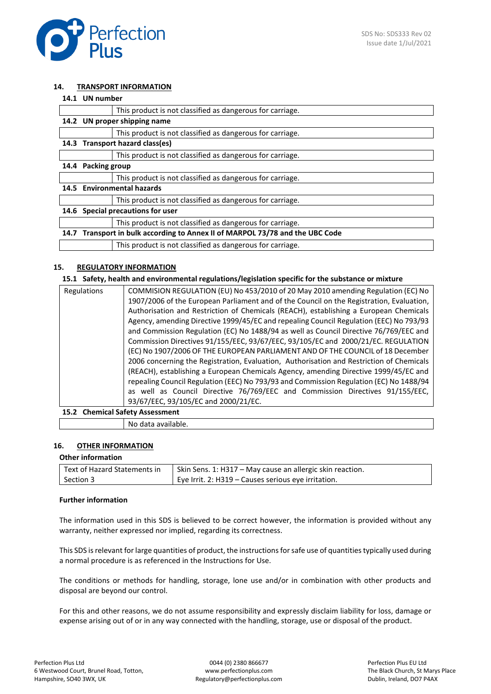

#### **14. TRANSPORT INFORMATION**

|      | 14.1 UN number                                                           |  |
|------|--------------------------------------------------------------------------|--|
|      | This product is not classified as dangerous for carriage.                |  |
| 14.2 | UN proper shipping name                                                  |  |
|      | This product is not classified as dangerous for carriage.                |  |
|      | 14.3 Transport hazard class(es)                                          |  |
|      | This product is not classified as dangerous for carriage.                |  |
| 14.4 | <b>Packing group</b>                                                     |  |
|      | This product is not classified as dangerous for carriage.                |  |
| 14.5 | <b>Environmental hazards</b>                                             |  |
|      | This product is not classified as dangerous for carriage.                |  |
| 14.6 | Special precautions for user                                             |  |
|      | This product is not classified as dangerous for carriage.                |  |
| 14.7 | Transport in bulk according to Annex II of MARPOL 73/78 and the UBC Code |  |
|      | This product is not classified as dangerous for carriage.                |  |

## **15. REGULATORY INFORMATION**

#### **15.1 Safety, health and environmental regulations/legislation specific for the substance or mixture**

| Regulations | COMMISION REGULATION (EU) No 453/2010 of 20 May 2010 amending Regulation (EC) No         |
|-------------|------------------------------------------------------------------------------------------|
|             | 1907/2006 of the European Parliament and of the Council on the Registration, Evaluation, |
|             | Authorisation and Restriction of Chemicals (REACH), establishing a European Chemicals    |
|             | Agency, amending Directive 1999/45/EC and repealing Council Regulation (EEC) No 793/93   |
|             | and Commission Regulation (EC) No 1488/94 as well as Council Directive 76/769/EEC and    |
|             | Commission Directives 91/155/EEC, 93/67/EEC, 93/105/EC and 2000/21/EC. REGULATION        |
|             | (EC) No 1907/2006 OF THE EUROPEAN PARLIAMENT AND OF THE COUNCIL of 18 December           |
|             | 2006 concerning the Registration, Evaluation, Authorisation and Restriction of Chemicals |
|             | (REACH), establishing a European Chemicals Agency, amending Directive 1999/45/EC and     |
|             | repealing Council Regulation (EEC) No 793/93 and Commission Regulation (EC) No 1488/94   |
|             | as well as Council Directive 76/769/EEC and Commission Directives 91/155/EEC,            |
|             | 93/67/EEC, 93/105/EC and 2000/21/EC.                                                     |
|             |                                                                                          |

## **15.2 Chemical Safety Assessment**

No data available.

## **16. OTHER INFORMATION**

#### **Other information**

| Text of Hazard Statements in | Skin Sens. 1: H317 – May cause an allergic skin reaction. |
|------------------------------|-----------------------------------------------------------|
| Section 3                    | Eye Irrit. 2: H319 – Causes serious eye irritation.       |

#### **Further information**

The information used in this SDS is believed to be correct however, the information is provided without any warranty, neither expressed nor implied, regarding its correctness.

This SDS is relevant for large quantities of product, the instructions for safe use of quantities typically used during a normal procedure is as referenced in the Instructions for Use.

The conditions or methods for handling, storage, lone use and/or in combination with other products and disposal are beyond our control.

For this and other reasons, we do not assume responsibility and expressly disclaim liability for loss, damage or expense arising out of or in any way connected with the handling, storage, use or disposal of the product.